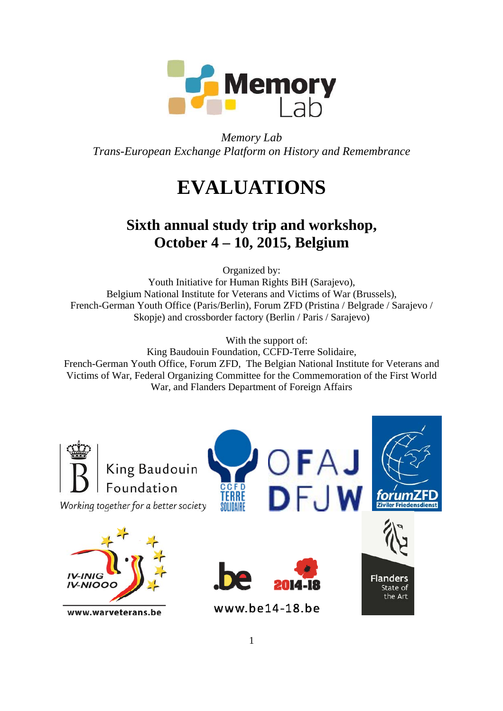

*Memory Lab Trans-European Exchange Platform on History and Remembrance* 

# **EVALUATIONS**

# **Sixth annual study trip and workshop, October 4 – 10, 2015, Belgium**

Organized by:

Youth Initiative for Human Rights BiH (Sarajevo), Belgium National Institute for Veterans and Victims of War (Brussels), French-German Youth Office (Paris/Berlin), Forum ZFD (Pristina / Belgrade / Sarajevo / Skopje) and crossborder factory (Berlin / Paris / Sarajevo)

With the support of:

King Baudouin Foundation, CCFD-Terre Solidaire, French-German Youth Office, Forum ZFD, The Belgian National Institute for Veterans and Victims of War, Federal Organizing Committee for the Commemoration of the First World War, and Flanders Department of Foreign Affairs

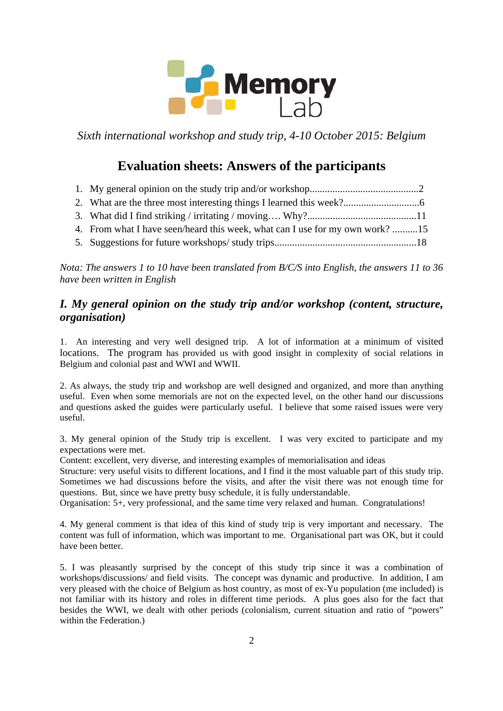

*Sixth international workshop and study trip, 4-10 October 2015: Belgium* 

## **Evaluation sheets: Answers of the participants**

- 3. What did I find striking / irritating / moving…. Why?...........................................11
- 4. From what I have seen/heard this week, what can I use for my own work? ..........15
- 5. Suggestions for future workshops/ study trips........................................................18

*Nota: The answers 1 to 10 have been translated from B/C/S into English, the answers 11 to 36 have been written in English* 

### *I. My general opinion on the study trip and/or workshop (content, structure, organisation)*

1. An interesting and very well designed trip. A lot of information at a minimum of visited locations. The program has provided us with good insight in complexity of social relations in Belgium and colonial past and WWI and WWII.

2. As always, the study trip and workshop are well designed and organized, and more than anything useful. Even when some memorials are not on the expected level, on the other hand our discussions and questions asked the guides were particularly useful. I believe that some raised issues were very useful.

3. My general opinion of the Study trip is excellent. I was very excited to participate and my expectations were met.

Content: excellent, very diverse, and interesting examples of memorialisation and ideas

Structure: very useful visits to different locations, and I find it the most valuable part of this study trip. Sometimes we had discussions before the visits, and after the visit there was not enough time for questions. But, since we have pretty busy schedule, it is fully understandable.

Organisation: 5+, very professional, and the same time very relaxed and human. Congratulations!

4. My general comment is that idea of this kind of study trip is very important and necessary. The content was full of information, which was important to me. Organisational part was OK, but it could have been better.

5. I was pleasantly surprised by the concept of this study trip since it was a combination of workshops/discussions/ and field visits. The concept was dynamic and productive. In addition, I am very pleased with the choice of Belgium as host country, as most of ex-Yu population (me included) is not familiar with its history and roles in different time periods. A plus goes also for the fact that besides the WWI, we dealt with other periods (colonialism, current situation and ratio of "powers" within the Federation.)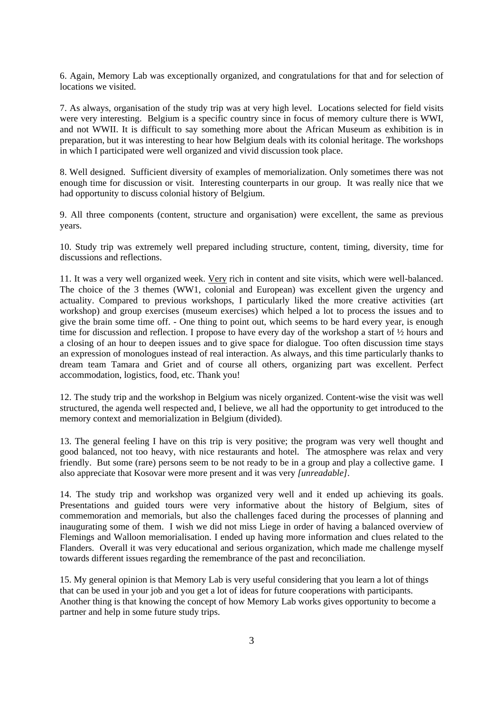6. Again, Memory Lab was exceptionally organized, and congratulations for that and for selection of locations we visited.

7. As always, organisation of the study trip was at very high level. Locations selected for field visits were very interesting. Belgium is a specific country since in focus of memory culture there is WWI, and not WWII. It is difficult to say something more about the African Museum as exhibition is in preparation, but it was interesting to hear how Belgium deals with its colonial heritage. The workshops in which I participated were well organized and vivid discussion took place.

8. Well designed. Sufficient diversity of examples of memorialization. Only sometimes there was not enough time for discussion or visit. Interesting counterparts in our group. It was really nice that we had opportunity to discuss colonial history of Belgium.

9. All three components (content, structure and organisation) were excellent, the same as previous years.

10. Study trip was extremely well prepared including structure, content, timing, diversity, time for discussions and reflections.

11. It was a very well organized week. Very rich in content and site visits, which were well-balanced. The choice of the 3 themes (WW1, colonial and European) was excellent given the urgency and actuality. Compared to previous workshops, I particularly liked the more creative activities (art workshop) and group exercises (museum exercises) which helped a lot to process the issues and to give the brain some time off. - One thing to point out, which seems to be hard every year, is enough time for discussion and reflection. I propose to have every day of the workshop a start of  $\frac{1}{2}$  hours and a closing of an hour to deepen issues and to give space for dialogue. Too often discussion time stays an expression of monologues instead of real interaction. As always, and this time particularly thanks to dream team Tamara and Griet and of course all others, organizing part was excellent. Perfect accommodation, logistics, food, etc. Thank you!

12. The study trip and the workshop in Belgium was nicely organized. Content-wise the visit was well structured, the agenda well respected and, I believe, we all had the opportunity to get introduced to the memory context and memorialization in Belgium (divided).

13. The general feeling I have on this trip is very positive; the program was very well thought and good balanced, not too heavy, with nice restaurants and hotel. The atmosphere was relax and very friendly. But some (rare) persons seem to be not ready to be in a group and play a collective game. I also appreciate that Kosovar were more present and it was very *[unreadable]*.

14. The study trip and workshop was organized very well and it ended up achieving its goals. Presentations and guided tours were very informative about the history of Belgium, sites of commemoration and memorials, but also the challenges faced during the processes of planning and inaugurating some of them. I wish we did not miss Liege in order of having a balanced overview of Flemings and Walloon memorialisation. I ended up having more information and clues related to the Flanders. Overall it was very educational and serious organization, which made me challenge myself towards different issues regarding the remembrance of the past and reconciliation.

15. My general opinion is that Memory Lab is very useful considering that you learn a lot of things that can be used in your job and you get a lot of ideas for future cooperations with participants. Another thing is that knowing the concept of how Memory Lab works gives opportunity to become a partner and help in some future study trips.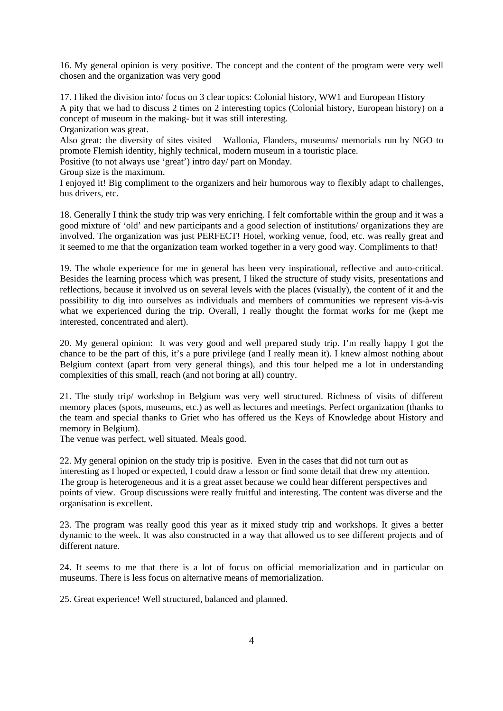16. My general opinion is very positive. The concept and the content of the program were very well chosen and the organization was very good

17. I liked the division into/ focus on 3 clear topics: Colonial history, WW1 and European History A pity that we had to discuss 2 times on 2 interesting topics (Colonial history, European history) on a concept of museum in the making- but it was still interesting.

Organization was great.

Also great: the diversity of sites visited – Wallonia, Flanders, museums/ memorials run by NGO to promote Flemish identity, highly technical, modern museum in a touristic place.

Positive (to not always use 'great') intro day/ part on Monday.

Group size is the maximum.

I enjoyed it! Big compliment to the organizers and heir humorous way to flexibly adapt to challenges, bus drivers, etc.

18. Generally I think the study trip was very enriching. I felt comfortable within the group and it was a good mixture of 'old' and new participants and a good selection of institutions/ organizations they are involved. The organization was just PERFECT! Hotel, working venue, food, etc. was really great and it seemed to me that the organization team worked together in a very good way. Compliments to that!

19. The whole experience for me in general has been very inspirational, reflective and auto-critical. Besides the learning process which was present, I liked the structure of study visits, presentations and reflections, because it involved us on several levels with the places (visually), the content of it and the possibility to dig into ourselves as individuals and members of communities we represent vis-à-vis what we experienced during the trip. Overall, I really thought the format works for me (kept me interested, concentrated and alert).

20. My general opinion: It was very good and well prepared study trip. I'm really happy I got the chance to be the part of this, it's a pure privilege (and I really mean it). I knew almost nothing about Belgium context (apart from very general things), and this tour helped me a lot in understanding complexities of this small, reach (and not boring at all) country.

21. The study trip/ workshop in Belgium was very well structured. Richness of visits of different memory places (spots, museums, etc.) as well as lectures and meetings. Perfect organization (thanks to the team and special thanks to Griet who has offered us the Keys of Knowledge about History and memory in Belgium).

The venue was perfect, well situated. Meals good.

22. My general opinion on the study trip is positive. Even in the cases that did not turn out as interesting as I hoped or expected, I could draw a lesson or find some detail that drew my attention. The group is heterogeneous and it is a great asset because we could hear different perspectives and points of view. Group discussions were really fruitful and interesting. The content was diverse and the organisation is excellent.

23. The program was really good this year as it mixed study trip and workshops. It gives a better dynamic to the week. It was also constructed in a way that allowed us to see different projects and of different nature.

24. It seems to me that there is a lot of focus on official memorialization and in particular on museums. There is less focus on alternative means of memorialization.

25. Great experience! Well structured, balanced and planned.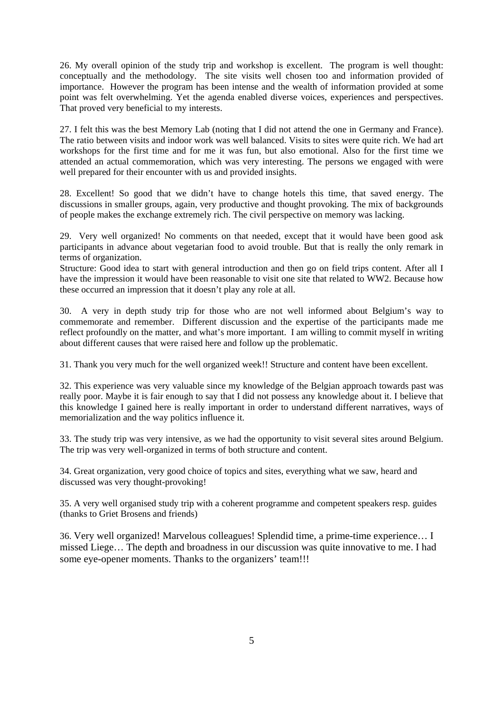26. My overall opinion of the study trip and workshop is excellent. The program is well thought: conceptually and the methodology. The site visits well chosen too and information provided of importance. However the program has been intense and the wealth of information provided at some point was felt overwhelming. Yet the agenda enabled diverse voices, experiences and perspectives. That proved very beneficial to my interests.

27. I felt this was the best Memory Lab (noting that I did not attend the one in Germany and France). The ratio between visits and indoor work was well balanced. Visits to sites were quite rich. We had art workshops for the first time and for me it was fun, but also emotional. Also for the first time we attended an actual commemoration, which was very interesting. The persons we engaged with were well prepared for their encounter with us and provided insights.

28. Excellent! So good that we didn't have to change hotels this time, that saved energy. The discussions in smaller groups, again, very productive and thought provoking. The mix of backgrounds of people makes the exchange extremely rich. The civil perspective on memory was lacking.

29. Very well organized! No comments on that needed, except that it would have been good ask participants in advance about vegetarian food to avoid trouble. But that is really the only remark in terms of organization.

Structure: Good idea to start with general introduction and then go on field trips content. After all I have the impression it would have been reasonable to visit one site that related to WW2. Because how these occurred an impression that it doesn't play any role at all.

30. A very in depth study trip for those who are not well informed about Belgium's way to commemorate and remember. Different discussion and the expertise of the participants made me reflect profoundly on the matter, and what's more important. I am willing to commit myself in writing about different causes that were raised here and follow up the problematic.

31. Thank you very much for the well organized week!! Structure and content have been excellent.

32. This experience was very valuable since my knowledge of the Belgian approach towards past was really poor. Maybe it is fair enough to say that I did not possess any knowledge about it. I believe that this knowledge I gained here is really important in order to understand different narratives, ways of memorialization and the way politics influence it.

33. The study trip was very intensive, as we had the opportunity to visit several sites around Belgium. The trip was very well-organized in terms of both structure and content.

34. Great organization, very good choice of topics and sites, everything what we saw, heard and discussed was very thought-provoking!

35. A very well organised study trip with a coherent programme and competent speakers resp. guides (thanks to Griet Brosens and friends)

36. Very well organized! Marvelous colleagues! Splendid time, a prime-time experience… I missed Liege… The depth and broadness in our discussion was quite innovative to me. I had some eye-opener moments. Thanks to the organizers' team!!!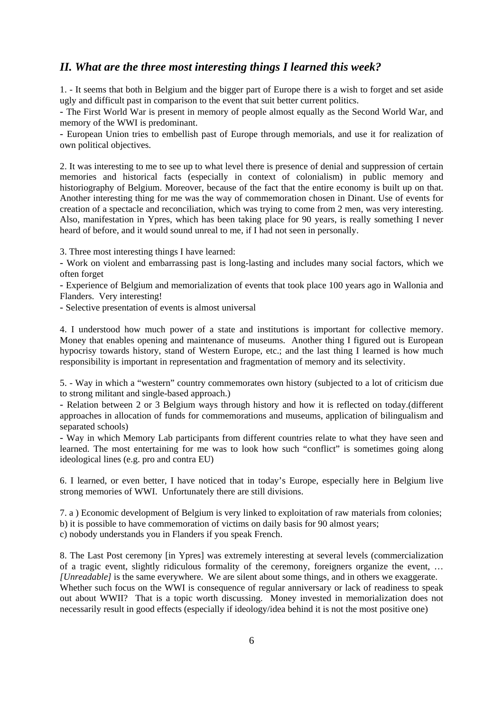#### *II. What are the three most interesting things I learned this week?*

1. - It seems that both in Belgium and the bigger part of Europe there is a wish to forget and set aside ugly and difficult past in comparison to the event that suit better current politics.

- The First World War is present in memory of people almost equally as the Second World War, and memory of the WWI is predominant.

- European Union tries to embellish past of Europe through memorials, and use it for realization of own political objectives.

2. It was interesting to me to see up to what level there is presence of denial and suppression of certain memories and historical facts (especially in context of colonialism) in public memory and historiography of Belgium. Moreover, because of the fact that the entire economy is built up on that. Another interesting thing for me was the way of commemoration chosen in Dinant. Use of events for creation of a spectacle and reconciliation, which was trying to come from 2 men, was very interesting. Also, manifestation in Ypres, which has been taking place for 90 years, is really something I never heard of before, and it would sound unreal to me, if I had not seen in personally.

3. Three most interesting things I have learned:

- Work on violent and embarrassing past is long-lasting and includes many social factors, which we often forget

- Experience of Belgium and memorialization of events that took place 100 years ago in Wallonia and Flanders. Very interesting!

- Selective presentation of events is almost universal

4. I understood how much power of a state and institutions is important for collective memory. Money that enables opening and maintenance of museums. Another thing I figured out is European hypocrisy towards history, stand of Western Europe, etc.; and the last thing I learned is how much responsibility is important in representation and fragmentation of memory and its selectivity.

5. - Way in which a "western" country commemorates own history (subjected to a lot of criticism due to strong militant and single-based approach.)

- Relation between 2 or 3 Belgium ways through history and how it is reflected on today.(different approaches in allocation of funds for commemorations and museums, application of bilingualism and separated schools)

- Way in which Memory Lab participants from different countries relate to what they have seen and learned. The most entertaining for me was to look how such "conflict" is sometimes going along ideological lines (e.g. pro and contra EU)

6. I learned, or even better, I have noticed that in today's Europe, especially here in Belgium live strong memories of WWI. Unfortunately there are still divisions.

7. a ) Economic development of Belgium is very linked to exploitation of raw materials from colonies; b) it is possible to have commemoration of victims on daily basis for 90 almost years; c) nobody understands you in Flanders if you speak French.

8. The Last Post ceremony [in Ypres] was extremely interesting at several levels (commercialization of a tragic event, slightly ridiculous formality of the ceremony, foreigners organize the event, … *[Unreadable]* is the same everywhere. We are silent about some things, and in others we exaggerate. Whether such focus on the WWI is consequence of regular anniversary or lack of readiness to speak out about WWII? That is a topic worth discussing. Money invested in memorialization does not necessarily result in good effects (especially if ideology/idea behind it is not the most positive one)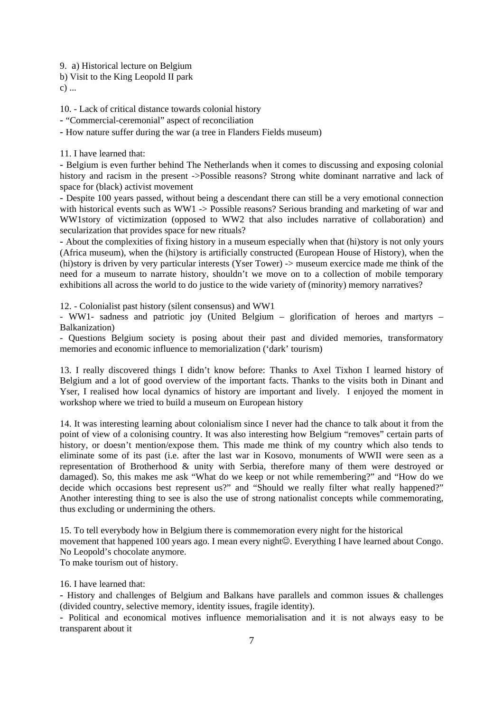9. a) Historical lecture on Belgium

b) Visit to the King Leopold II park

c) ...

10. - Lack of critical distance towards colonial history

- "Commercial-ceremonial" aspect of reconciliation

- How nature suffer during the war (a tree in Flanders Fields museum)

11. I have learned that:

- Belgium is even further behind The Netherlands when it comes to discussing and exposing colonial history and racism in the present ->Possible reasons? Strong white dominant narrative and lack of space for (black) activist movement

- Despite 100 years passed, without being a descendant there can still be a very emotional connection with historical events such as WW1 -> Possible reasons? Serious branding and marketing of war and WW1story of victimization (opposed to WW2 that also includes narrative of collaboration) and secularization that provides space for new rituals?

- About the complexities of fixing history in a museum especially when that (hi)story is not only yours (Africa museum), when the (hi)story is artificially constructed (European House of History), when the (hi)story is driven by very particular interests (Yser Tower) -> museum exercice made me think of the need for a museum to narrate history, shouldn't we move on to a collection of mobile temporary exhibitions all across the world to do justice to the wide variety of (minority) memory narratives?

12. - Colonialist past history (silent consensus) and WW1

- WW1- sadness and patriotic joy (United Belgium – glorification of heroes and martyrs – Balkanization)

- Questions Belgium society is posing about their past and divided memories, transformatory memories and economic influence to memorialization ('dark' tourism)

13. I really discovered things I didn't know before: Thanks to Axel Tixhon I learned history of Belgium and a lot of good overview of the important facts. Thanks to the visits both in Dinant and Yser, I realised how local dynamics of history are important and lively. I enjoyed the moment in workshop where we tried to build a museum on European history

14. It was interesting learning about colonialism since I never had the chance to talk about it from the point of view of a colonising country. It was also interesting how Belgium "removes" certain parts of history, or doesn't mention/expose them. This made me think of my country which also tends to eliminate some of its past (i.e. after the last war in Kosovo, monuments of WWII were seen as a representation of Brotherhood & unity with Serbia, therefore many of them were destroyed or damaged). So, this makes me ask "What do we keep or not while remembering?" and "How do we decide which occasions best represent us?" and "Should we really filter what really happened?" Another interesting thing to see is also the use of strong nationalist concepts while commemorating, thus excluding or undermining the others.

15. To tell everybody how in Belgium there is commemoration every night for the historical movement that happened 100 years ago. I mean every night☺. Everything I have learned about Congo. No Leopold's chocolate anymore.

To make tourism out of history.

16. I have learned that:

- History and challenges of Belgium and Balkans have parallels and common issues & challenges (divided country, selective memory, identity issues, fragile identity).

- Political and economical motives influence memorialisation and it is not always easy to be transparent about it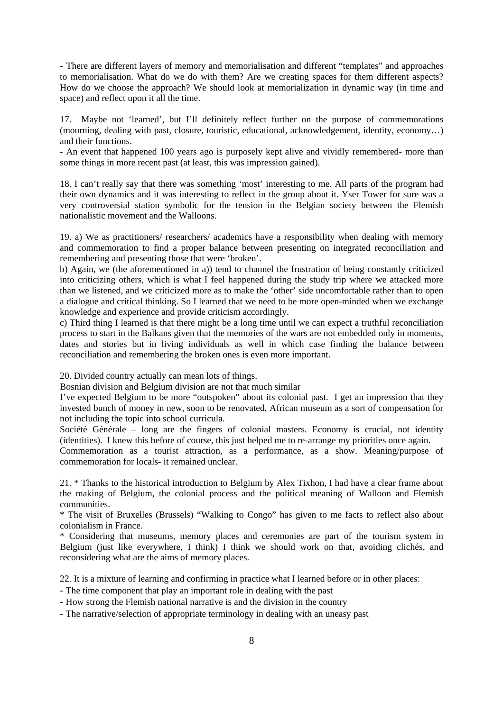- There are different layers of memory and memorialisation and different "templates" and approaches to memorialisation. What do we do with them? Are we creating spaces for them different aspects? How do we choose the approach? We should look at memorialization in dynamic way (in time and space) and reflect upon it all the time.

17. Maybe not 'learned', but I'll definitely reflect further on the purpose of commemorations (mourning, dealing with past, closure, touristic, educational, acknowledgement, identity, economy…) and their functions.

- An event that happened 100 years ago is purposely kept alive and vividly remembered- more than some things in more recent past (at least, this was impression gained).

18. I can't really say that there was something 'most' interesting to me. All parts of the program had their own dynamics and it was interesting to reflect in the group about it. Yser Tower for sure was a very controversial station symbolic for the tension in the Belgian society between the Flemish nationalistic movement and the Walloons.

19. a) We as practitioners/ researchers/ academics have a responsibility when dealing with memory and commemoration to find a proper balance between presenting on integrated reconciliation and remembering and presenting those that were 'broken'.

b) Again, we (the aforementioned in a)) tend to channel the frustration of being constantly criticized into criticizing others, which is what I feel happened during the study trip where we attacked more than we listened, and we criticized more as to make the 'other' side uncomfortable rather than to open a dialogue and critical thinking. So I learned that we need to be more open-minded when we exchange knowledge and experience and provide criticism accordingly.

c) Third thing I learned is that there might be a long time until we can expect a truthful reconciliation process to start in the Balkans given that the memories of the wars are not embedded only in moments, dates and stories but in living individuals as well in which case finding the balance between reconciliation and remembering the broken ones is even more important.

20. Divided country actually can mean lots of things.

Bosnian division and Belgium division are not that much similar

I've expected Belgium to be more "outspoken" about its colonial past. I get an impression that they invested bunch of money in new, soon to be renovated, African museum as a sort of compensation for not including the topic into school curricula.

Société Générale – long are the fingers of colonial masters. Economy is crucial, not identity (identities). I knew this before of course, this just helped me to re-arrange my priorities once again.

Commemoration as a tourist attraction, as a performance, as a show. Meaning/purpose of commemoration for locals- it remained unclear.

21. \* Thanks to the historical introduction to Belgium by Alex Tixhon, I had have a clear frame about the making of Belgium, the colonial process and the political meaning of Walloon and Flemish communities.

\* The visit of Bruxelles (Brussels) "Walking to Congo" has given to me facts to reflect also about colonialism in France.

\* Considering that museums, memory places and ceremonies are part of the tourism system in Belgium (just like everywhere, I think) I think we should work on that, avoiding clichés, and reconsidering what are the aims of memory places.

22. It is a mixture of learning and confirming in practice what I learned before or in other places:

- The time component that play an important role in dealing with the past

- How strong the Flemish national narrative is and the division in the country

- The narrative/selection of appropriate terminology in dealing with an uneasy past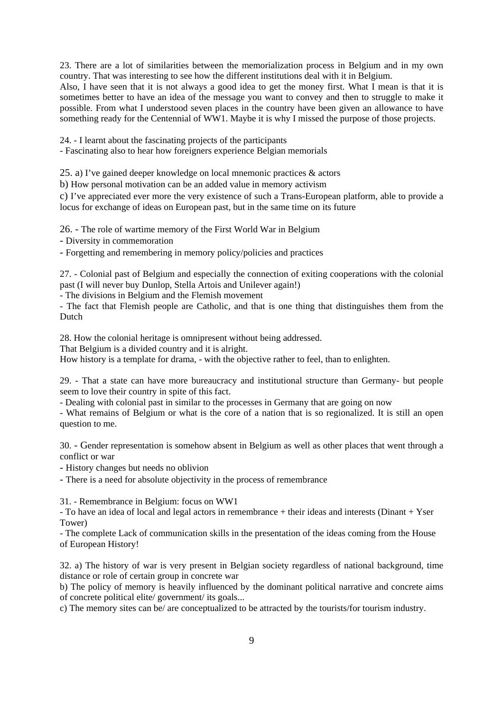23. There are a lot of similarities between the memorialization process in Belgium and in my own country. That was interesting to see how the different institutions deal with it in Belgium.

Also, I have seen that it is not always a good idea to get the money first. What I mean is that it is sometimes better to have an idea of the message you want to convey and then to struggle to make it possible. From what I understood seven places in the country have been given an allowance to have something ready for the Centennial of WW1. Maybe it is why I missed the purpose of those projects.

24. - I learnt about the fascinating projects of the participants

- Fascinating also to hear how foreigners experience Belgian memorials

25. a) I've gained deeper knowledge on local mnemonic practices & actors

b) How personal motivation can be an added value in memory activism

c) I've appreciated ever more the very existence of such a Trans-European platform, able to provide a locus for exchange of ideas on European past, but in the same time on its future

26. - The role of wartime memory of the First World War in Belgium

- Diversity in commemoration

- Forgetting and remembering in memory policy/policies and practices

27. - Colonial past of Belgium and especially the connection of exiting cooperations with the colonial past (I will never buy Dunlop, Stella Artois and Unilever again!)

- The divisions in Belgium and the Flemish movement

- The fact that Flemish people are Catholic, and that is one thing that distinguishes them from the Dutch

28. How the colonial heritage is omnipresent without being addressed.

That Belgium is a divided country and it is alright.

How history is a template for drama, - with the objective rather to feel, than to enlighten.

29. - That a state can have more bureaucracy and institutional structure than Germany- but people seem to love their country in spite of this fact.

- Dealing with colonial past in similar to the processes in Germany that are going on now

- What remains of Belgium or what is the core of a nation that is so regionalized. It is still an open question to me.

30. - Gender representation is somehow absent in Belgium as well as other places that went through a conflict or war

- History changes but needs no oblivion

- There is a need for absolute objectivity in the process of remembrance

31. - Remembrance in Belgium: focus on WW1

- To have an idea of local and legal actors in remembrance + their ideas and interests (Dinant + Yser Tower)

- The complete Lack of communication skills in the presentation of the ideas coming from the House of European History!

32. a) The history of war is very present in Belgian society regardless of national background, time distance or role of certain group in concrete war

b) The policy of memory is heavily influenced by the dominant political narrative and concrete aims of concrete political elite/ government/ its goals...

c) The memory sites can be/ are conceptualized to be attracted by the tourists/for tourism industry.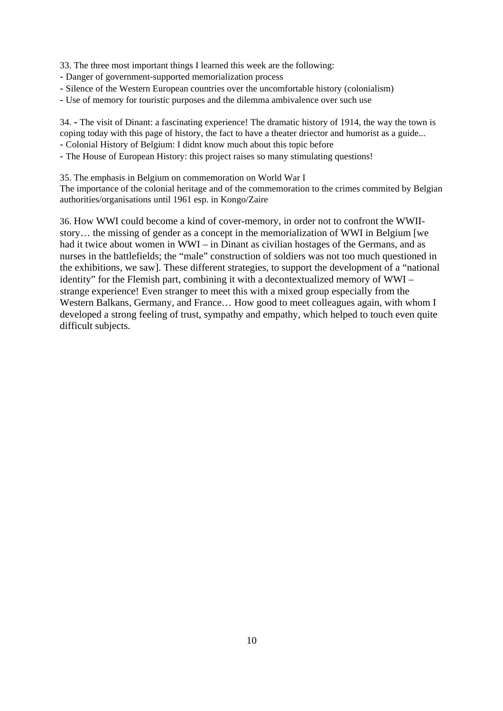33. The three most important things I learned this week are the following:

- Danger of government-supported memorialization process
- Silence of the Western European countries over the uncomfortable history (colonialism)
- Use of memory for touristic purposes and the dilemma ambivalence over such use

34. **-** The visit of Dinant: a fascinating experience! The dramatic history of 1914, the way the town is coping today with this page of history, the fact to have a theater driector and humorist as a guide... - Colonial History of Belgium: I didnt know much about this topic before

- The House of European History: this project raises so many stimulating questions!
- 35. The emphasis in Belgium on commemoration on World War I

The importance of the colonial heritage and of the commemoration to the crimes commited by Belgian authorities/organisations until 1961 esp. in Kongo/Zaire

36. How WWI could become a kind of cover-memory, in order not to confront the WWIIstory… the missing of gender as a concept in the memorialization of WWI in Belgium [we had it twice about women in WWI – in Dinant as civilian hostages of the Germans, and as nurses in the battlefields; the "male" construction of soldiers was not too much questioned in the exhibitions, we saw]. These different strategies, to support the development of a "national identity" for the Flemish part, combining it with a decontextualized memory of WWI – strange experience! Even stranger to meet this with a mixed group especially from the Western Balkans, Germany, and France… How good to meet colleagues again, with whom I developed a strong feeling of trust, sympathy and empathy, which helped to touch even quite difficult subjects.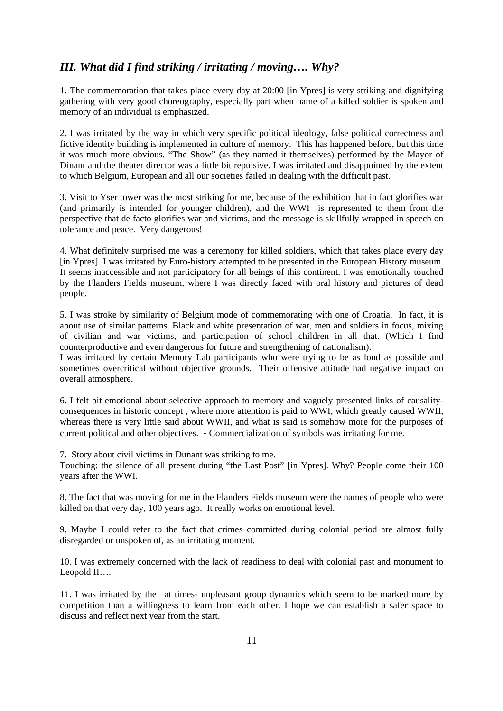#### *III. What did I find striking / irritating / moving…. Why?*

1. The commemoration that takes place every day at 20:00 [in Ypres] is very striking and dignifying gathering with very good choreography, especially part when name of a killed soldier is spoken and memory of an individual is emphasized.

2. I was irritated by the way in which very specific political ideology, false political correctness and fictive identity building is implemented in culture of memory. This has happened before, but this time it was much more obvious. "The Show" (as they named it themselves) performed by the Mayor of Dinant and the theater director was a little bit repulsive. I was irritated and disappointed by the extent to which Belgium, European and all our societies failed in dealing with the difficult past.

3. Visit to Yser tower was the most striking for me, because of the exhibition that in fact glorifies war (and primarily is intended for younger children), and the WWI is represented to them from the perspective that de facto glorifies war and victims, and the message is skillfully wrapped in speech on tolerance and peace. Very dangerous!

4. What definitely surprised me was a ceremony for killed soldiers, which that takes place every day [in Ypres]. I was irritated by Euro-history attempted to be presented in the European History museum. It seems inaccessible and not participatory for all beings of this continent. I was emotionally touched by the Flanders Fields museum, where I was directly faced with oral history and pictures of dead people.

5. I was stroke by similarity of Belgium mode of commemorating with one of Croatia. In fact, it is about use of similar patterns. Black and white presentation of war, men and soldiers in focus, mixing of civilian and war victims, and participation of school children in all that. (Which I find counterproductive and even dangerous for future and strengthening of nationalism).

I was irritated by certain Memory Lab participants who were trying to be as loud as possible and sometimes overcritical without objective grounds. Their offensive attitude had negative impact on overall atmosphere.

6. I felt bit emotional about selective approach to memory and vaguely presented links of causalityconsequences in historic concept , where more attention is paid to WWI, which greatly caused WWII, whereas there is very little said about WWII, and what is said is somehow more for the purposes of current political and other objectives. - Commercialization of symbols was irritating for me.

7. Story about civil victims in Dunant was striking to me.

Touching: the silence of all present during "the Last Post" [in Ypres]. Why? People come their 100 years after the WWI.

8. The fact that was moving for me in the Flanders Fields museum were the names of people who were killed on that very day, 100 years ago. It really works on emotional level.

9. Maybe I could refer to the fact that crimes committed during colonial period are almost fully disregarded or unspoken of, as an irritating moment.

10. I was extremely concerned with the lack of readiness to deal with colonial past and monument to Leopold II….

11. I was irritated by the –at times- unpleasant group dynamics which seem to be marked more by competition than a willingness to learn from each other. I hope we can establish a safer space to discuss and reflect next year from the start.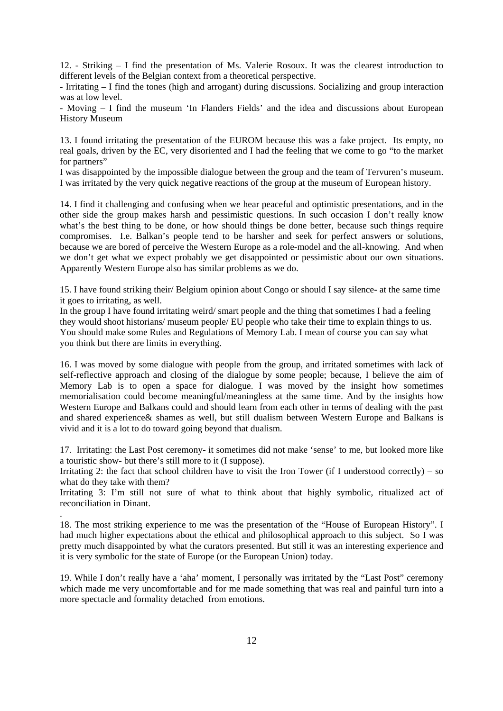12. - Striking – I find the presentation of Ms. Valerie Rosoux. It was the clearest introduction to different levels of the Belgian context from a theoretical perspective.

- Irritating – I find the tones (high and arrogant) during discussions. Socializing and group interaction was at low level.

- Moving – I find the museum 'In Flanders Fields' and the idea and discussions about European History Museum

13. I found irritating the presentation of the EUROM because this was a fake project. Its empty, no real goals, driven by the EC, very disoriented and I had the feeling that we come to go "to the market for partners"

I was disappointed by the impossible dialogue between the group and the team of Tervuren's museum. I was irritated by the very quick negative reactions of the group at the museum of European history.

14. I find it challenging and confusing when we hear peaceful and optimistic presentations, and in the other side the group makes harsh and pessimistic questions. In such occasion I don't really know what's the best thing to be done, or how should things be done better, because such things require compromises. I.e. Balkan's people tend to be harsher and seek for perfect answers or solutions, because we are bored of perceive the Western Europe as a role-model and the all-knowing. And when we don't get what we expect probably we get disappointed or pessimistic about our own situations. Apparently Western Europe also has similar problems as we do.

15. I have found striking their/ Belgium opinion about Congo or should I say silence- at the same time it goes to irritating, as well.

In the group I have found irritating weird/smart people and the thing that sometimes I had a feeling they would shoot historians/ museum people/ EU people who take their time to explain things to us. You should make some Rules and Regulations of Memory Lab. I mean of course you can say what you think but there are limits in everything.

16. I was moved by some dialogue with people from the group, and irritated sometimes with lack of self-reflective approach and closing of the dialogue by some people; because, I believe the aim of Memory Lab is to open a space for dialogue. I was moved by the insight how sometimes memorialisation could become meaningful/meaningless at the same time. And by the insights how Western Europe and Balkans could and should learn from each other in terms of dealing with the past and shared experience& shames as well, but still dualism between Western Europe and Balkans is vivid and it is a lot to do toward going beyond that dualism.

17. Irritating: the Last Post ceremony- it sometimes did not make 'sense' to me, but looked more like a touristic show- but there's still more to it (I suppose).

Irritating 2: the fact that school children have to visit the Iron Tower (if I understood correctly) – so what do they take with them?

Irritating 3: I'm still not sure of what to think about that highly symbolic, ritualized act of reconciliation in Dinant.

.

18. The most striking experience to me was the presentation of the "House of European History". I had much higher expectations about the ethical and philosophical approach to this subject. So I was pretty much disappointed by what the curators presented. But still it was an interesting experience and it is very symbolic for the state of Europe (or the European Union) today.

19. While I don't really have a 'aha' moment, I personally was irritated by the "Last Post" ceremony which made me very uncomfortable and for me made something that was real and painful turn into a more spectacle and formality detached from emotions.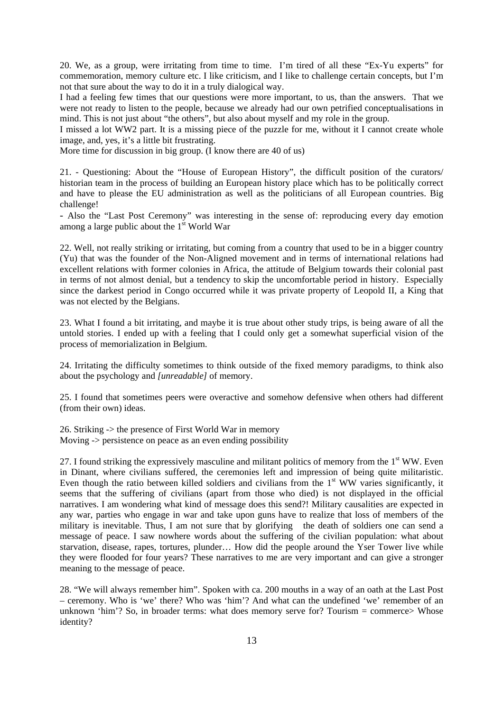20. We, as a group, were irritating from time to time. I'm tired of all these "Ex-Yu experts" for commemoration, memory culture etc. I like criticism, and I like to challenge certain concepts, but I'm not that sure about the way to do it in a truly dialogical way.

I had a feeling few times that our questions were more important, to us, than the answers. That we were not ready to listen to the people, because we already had our own petrified conceptualisations in mind. This is not just about "the others", but also about myself and my role in the group.

I missed a lot WW2 part. It is a missing piece of the puzzle for me, without it I cannot create whole image, and, yes, it's a little bit frustrating.

More time for discussion in big group. (I know there are 40 of us)

21. - Questioning: About the "House of European History", the difficult position of the curators/ historian team in the process of building an European history place which has to be politically correct and have to please the EU administration as well as the politicians of all European countries. Big challenge!

- Also the "Last Post Ceremony" was interesting in the sense of: reproducing every day emotion among a large public about the  $1<sup>st</sup>$  World War

22. Well, not really striking or irritating, but coming from a country that used to be in a bigger country (Yu) that was the founder of the Non-Aligned movement and in terms of international relations had excellent relations with former colonies in Africa, the attitude of Belgium towards their colonial past in terms of not almost denial, but a tendency to skip the uncomfortable period in history. Especially since the darkest period in Congo occurred while it was private property of Leopold II, a King that was not elected by the Belgians.

23. What I found a bit irritating, and maybe it is true about other study trips, is being aware of all the untold stories. I ended up with a feeling that I could only get a somewhat superficial vision of the process of memorialization in Belgium.

24. Irritating the difficulty sometimes to think outside of the fixed memory paradigms, to think also about the psychology and *[unreadable]* of memory.

25. I found that sometimes peers were overactive and somehow defensive when others had different (from their own) ideas.

26. Striking -> the presence of First World War in memory Moving -> persistence on peace as an even ending possibility

27. I found striking the expressively masculine and militant politics of memory from the 1<sup>st</sup> WW. Even in Dinant, where civilians suffered, the ceremonies left and impression of being quite militaristic. Even though the ratio between killed soldiers and civilians from the  $1<sup>st</sup> WW$  varies significantly, it seems that the suffering of civilians (apart from those who died) is not displayed in the official narratives. I am wondering what kind of message does this send?! Military causalities are expected in any war, parties who engage in war and take upon guns have to realize that loss of members of the military is inevitable. Thus, I am not sure that by glorifying the death of soldiers one can send a message of peace. I saw nowhere words about the suffering of the civilian population: what about starvation, disease, rapes, tortures, plunder… How did the people around the Yser Tower live while they were flooded for four years? These narratives to me are very important and can give a stronger meaning to the message of peace.

28. "We will always remember him". Spoken with ca. 200 mouths in a way of an oath at the Last Post – ceremony. Who is 'we' there? Who was 'him'? And what can the undefined 'we' remember of an unknown 'him'? So, in broader terms: what does memory serve for? Tourism = commerce> Whose identity?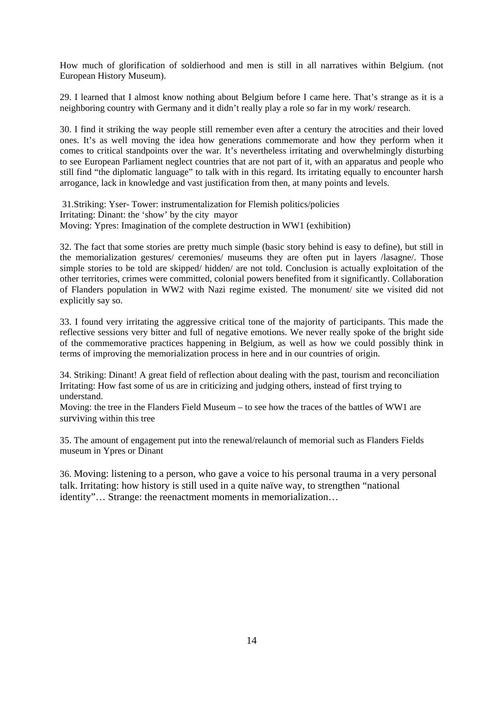How much of glorification of soldierhood and men is still in all narratives within Belgium. (not European History Museum).

29. I learned that I almost know nothing about Belgium before I came here. That's strange as it is a neighboring country with Germany and it didn't really play a role so far in my work/ research.

30. I find it striking the way people still remember even after a century the atrocities and their loved ones. It's as well moving the idea how generations commemorate and how they perform when it comes to critical standpoints over the war. It's nevertheless irritating and overwhelmingly disturbing to see European Parliament neglect countries that are not part of it, with an apparatus and people who still find "the diplomatic language" to talk with in this regard. Its irritating equally to encounter harsh arrogance, lack in knowledge and vast justification from then, at many points and levels.

 31.Striking: Yser- Tower: instrumentalization for Flemish politics/policies Irritating: Dinant: the 'show' by the city mayor Moving: Ypres: Imagination of the complete destruction in WW1 (exhibition)

32. The fact that some stories are pretty much simple (basic story behind is easy to define), but still in the memorialization gestures/ ceremonies/ museums they are often put in layers /lasagne/. Those simple stories to be told are skipped/ hidden/ are not told. Conclusion is actually exploitation of the other territories, crimes were committed, colonial powers benefited from it significantly. Collaboration of Flanders population in WW2 with Nazi regime existed. The monument/ site we visited did not explicitly say so.

33. I found very irritating the aggressive critical tone of the majority of participants. This made the reflective sessions very bitter and full of negative emotions. We never really spoke of the bright side of the commemorative practices happening in Belgium, as well as how we could possibly think in terms of improving the memorialization process in here and in our countries of origin.

34. Striking: Dinant! A great field of reflection about dealing with the past, tourism and reconciliation Irritating: How fast some of us are in criticizing and judging others, instead of first trying to understand.

Moving: the tree in the Flanders Field Museum – to see how the traces of the battles of WW1 are surviving within this tree

35. The amount of engagement put into the renewal/relaunch of memorial such as Flanders Fields museum in Ypres or Dinant

36. Moving: listening to a person, who gave a voice to his personal trauma in a very personal talk. Irritating: how history is still used in a quite naïve way, to strengthen "national identity"… Strange: the reenactment moments in memorialization…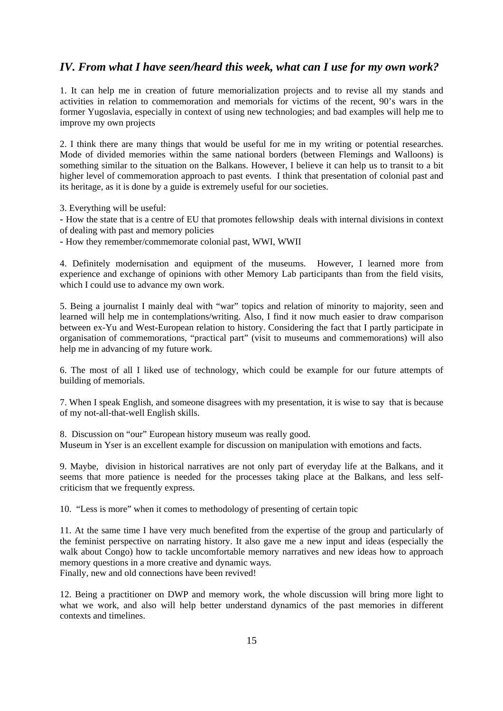#### *IV. From what I have seen/heard this week, what can I use for my own work?*

1. It can help me in creation of future memorialization projects and to revise all my stands and activities in relation to commemoration and memorials for victims of the recent, 90's wars in the former Yugoslavia, especially in context of using new technologies; and bad examples will help me to improve my own projects

2. I think there are many things that would be useful for me in my writing or potential researches. Mode of divided memories within the same national borders (between Flemings and Walloons) is something similar to the situation on the Balkans. However, I believe it can help us to transit to a bit higher level of commemoration approach to past events. I think that presentation of colonial past and its heritage, as it is done by a guide is extremely useful for our societies.

3. Everything will be useful:

- How the state that is a centre of EU that promotes fellowship deals with internal divisions in context of dealing with past and memory policies

- How they remember/commemorate colonial past, WWI, WWII

4. Definitely modernisation and equipment of the museums. However, I learned more from experience and exchange of opinions with other Memory Lab participants than from the field visits, which I could use to advance my own work.

5. Being a journalist I mainly deal with "war" topics and relation of minority to majority, seen and learned will help me in contemplations/writing. Also, I find it now much easier to draw comparison between ex-Yu and West-European relation to history. Considering the fact that I partly participate in organisation of commemorations, "practical part" (visit to museums and commemorations) will also help me in advancing of my future work.

6. The most of all I liked use of technology, which could be example for our future attempts of building of memorials.

7. When I speak English, and someone disagrees with my presentation, it is wise to say that is because of my not-all-that-well English skills.

8. Discussion on "our" European history museum was really good. Museum in Yser is an excellent example for discussion on manipulation with emotions and facts.

9. Maybe, division in historical narratives are not only part of everyday life at the Balkans, and it seems that more patience is needed for the processes taking place at the Balkans, and less selfcriticism that we frequently express.

10. "Less is more" when it comes to methodology of presenting of certain topic

11. At the same time I have very much benefited from the expertise of the group and particularly of the feminist perspective on narrating history. It also gave me a new input and ideas (especially the walk about Congo) how to tackle uncomfortable memory narratives and new ideas how to approach memory questions in a more creative and dynamic ways. Finally, new and old connections have been revived!

12. Being a practitioner on DWP and memory work, the whole discussion will bring more light to what we work, and also will help better understand dynamics of the past memories in different contexts and timelines.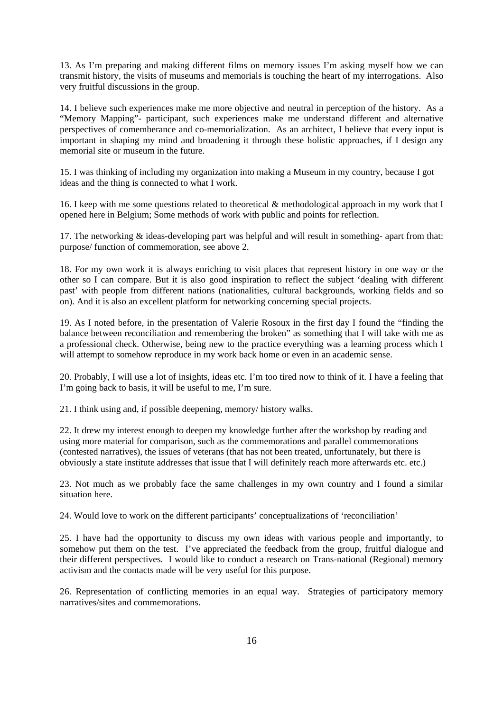13. As I'm preparing and making different films on memory issues I'm asking myself how we can transmit history, the visits of museums and memorials is touching the heart of my interrogations. Also very fruitful discussions in the group.

14. I believe such experiences make me more objective and neutral in perception of the history. As a "Memory Mapping"- participant, such experiences make me understand different and alternative perspectives of comemberance and co-memorialization. As an architect, I believe that every input is important in shaping my mind and broadening it through these holistic approaches, if I design any memorial site or museum in the future.

15. I was thinking of including my organization into making a Museum in my country, because I got ideas and the thing is connected to what I work.

16. I keep with me some questions related to theoretical & methodological approach in my work that I opened here in Belgium; Some methods of work with public and points for reflection.

17. The networking & ideas-developing part was helpful and will result in something- apart from that: purpose/ function of commemoration, see above 2.

18. For my own work it is always enriching to visit places that represent history in one way or the other so I can compare. But it is also good inspiration to reflect the subject 'dealing with different past' with people from different nations (nationalities, cultural backgrounds, working fields and so on). And it is also an excellent platform for networking concerning special projects.

19. As I noted before, in the presentation of Valerie Rosoux in the first day I found the "finding the balance between reconciliation and remembering the broken" as something that I will take with me as a professional check. Otherwise, being new to the practice everything was a learning process which I will attempt to somehow reproduce in my work back home or even in an academic sense.

20. Probably, I will use a lot of insights, ideas etc. I'm too tired now to think of it. I have a feeling that I'm going back to basis, it will be useful to me, I'm sure.

21. I think using and, if possible deepening, memory/ history walks.

22. It drew my interest enough to deepen my knowledge further after the workshop by reading and using more material for comparison, such as the commemorations and parallel commemorations (contested narratives), the issues of veterans (that has not been treated, unfortunately, but there is obviously a state institute addresses that issue that I will definitely reach more afterwards etc. etc.)

23. Not much as we probably face the same challenges in my own country and I found a similar situation here.

24. Would love to work on the different participants' conceptualizations of 'reconciliation'

25. I have had the opportunity to discuss my own ideas with various people and importantly, to somehow put them on the test. I've appreciated the feedback from the group, fruitful dialogue and their different perspectives. I would like to conduct a research on Trans-national (Regional) memory activism and the contacts made will be very useful for this purpose.

26. Representation of conflicting memories in an equal way. Strategies of participatory memory narratives/sites and commemorations.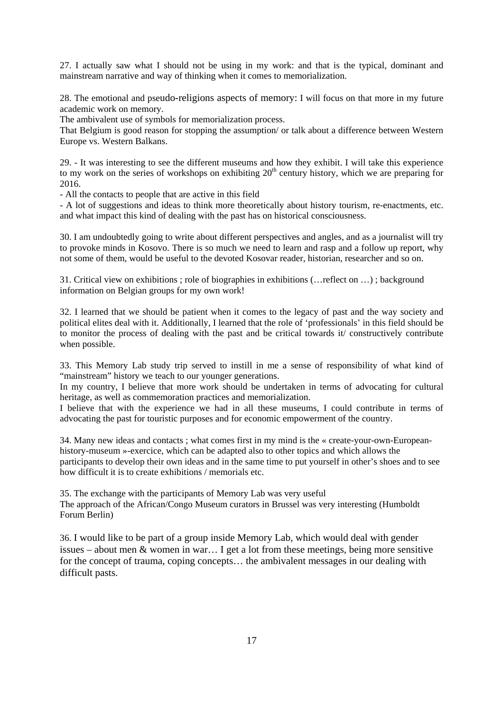27. I actually saw what I should not be using in my work: and that is the typical, dominant and mainstream narrative and way of thinking when it comes to memorialization.

28. The emotional and pseudo-religions aspects of memory: I will focus on that more in my future academic work on memory.

The ambivalent use of symbols for memorialization process.

That Belgium is good reason for stopping the assumption/ or talk about a difference between Western Europe vs. Western Balkans.

29. - It was interesting to see the different museums and how they exhibit. I will take this experience to my work on the series of workshops on exhibiting  $20<sup>th</sup>$  century history, which we are preparing for 2016.

- All the contacts to people that are active in this field

- A lot of suggestions and ideas to think more theoretically about history tourism, re-enactments, etc. and what impact this kind of dealing with the past has on historical consciousness.

30. I am undoubtedly going to write about different perspectives and angles, and as a journalist will try to provoke minds in Kosovo. There is so much we need to learn and rasp and a follow up report, why not some of them, would be useful to the devoted Kosovar reader, historian, researcher and so on.

31. Critical view on exhibitions ; role of biographies in exhibitions (…reflect on …) ; background information on Belgian groups for my own work!

32. I learned that we should be patient when it comes to the legacy of past and the way society and political elites deal with it. Additionally, I learned that the role of 'professionals' in this field should be to monitor the process of dealing with the past and be critical towards it/ constructively contribute when possible.

33. This Memory Lab study trip served to instill in me a sense of responsibility of what kind of "mainstream" history we teach to our younger generations.

In my country, I believe that more work should be undertaken in terms of advocating for cultural heritage, as well as commemoration practices and memorialization.

I believe that with the experience we had in all these museums, I could contribute in terms of advocating the past for touristic purposes and for economic empowerment of the country.

34. Many new ideas and contacts ; what comes first in my mind is the « create-your-own-Europeanhistory-museum »-exercice, which can be adapted also to other topics and which allows the participants to develop their own ideas and in the same time to put yourself in other's shoes and to see how difficult it is to create exhibitions / memorials etc.

35. The exchange with the participants of Memory Lab was very useful The approach of the African/Congo Museum curators in Brussel was very interesting (Humboldt Forum Berlin)

36. I would like to be part of a group inside Memory Lab, which would deal with gender issues – about men & women in war… I get a lot from these meetings, being more sensitive for the concept of trauma, coping concepts… the ambivalent messages in our dealing with difficult pasts.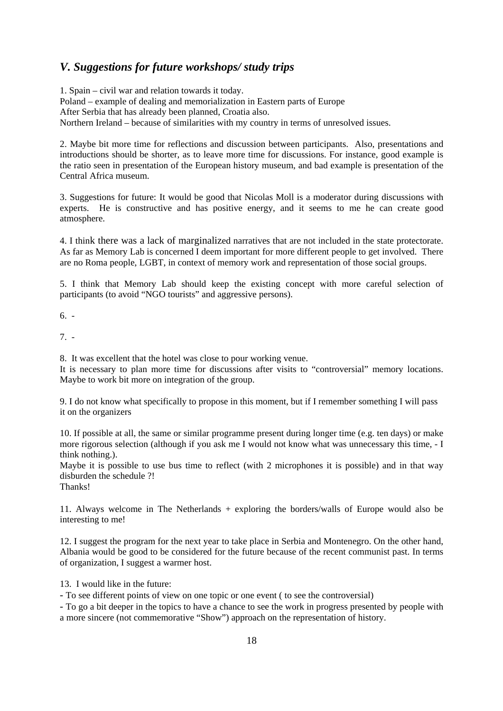#### *V. Suggestions for future workshops/ study trips*

1. Spain – civil war and relation towards it today. Poland – example of dealing and memorialization in Eastern parts of Europe After Serbia that has already been planned, Croatia also. Northern Ireland – because of similarities with my country in terms of unresolved issues.

2. Maybe bit more time for reflections and discussion between participants. Also, presentations and introductions should be shorter, as to leave more time for discussions. For instance, good example is the ratio seen in presentation of the European history museum, and bad example is presentation of the Central Africa museum.

3. Suggestions for future: It would be good that Nicolas Moll is a moderator during discussions with experts. He is constructive and has positive energy, and it seems to me he can create good atmosphere.

4. I think there was a lack of marginalized narratives that are not included in the state protectorate. As far as Memory Lab is concerned I deem important for more different people to get involved. There are no Roma people, LGBT, in context of memory work and representation of those social groups.

5. I think that Memory Lab should keep the existing concept with more careful selection of participants (to avoid "NGO tourists" and aggressive persons).

6. -

7. -

8. It was excellent that the hotel was close to pour working venue.

It is necessary to plan more time for discussions after visits to "controversial" memory locations. Maybe to work bit more on integration of the group.

9. I do not know what specifically to propose in this moment, but if I remember something I will pass it on the organizers

10. If possible at all, the same or similar programme present during longer time (e.g. ten days) or make more rigorous selection (although if you ask me I would not know what was unnecessary this time, - I think nothing.).

Maybe it is possible to use bus time to reflect (with 2 microphones it is possible) and in that way disburden the schedule ?!

Thanks!

11. Always welcome in The Netherlands + exploring the borders/walls of Europe would also be interesting to me!

12. I suggest the program for the next year to take place in Serbia and Montenegro. On the other hand, Albania would be good to be considered for the future because of the recent communist past. In terms of organization, I suggest a warmer host.

13. I would like in the future:

- To see different points of view on one topic or one event ( to see the controversial)

- To go a bit deeper in the topics to have a chance to see the work in progress presented by people with a more sincere (not commemorative "Show") approach on the representation of history.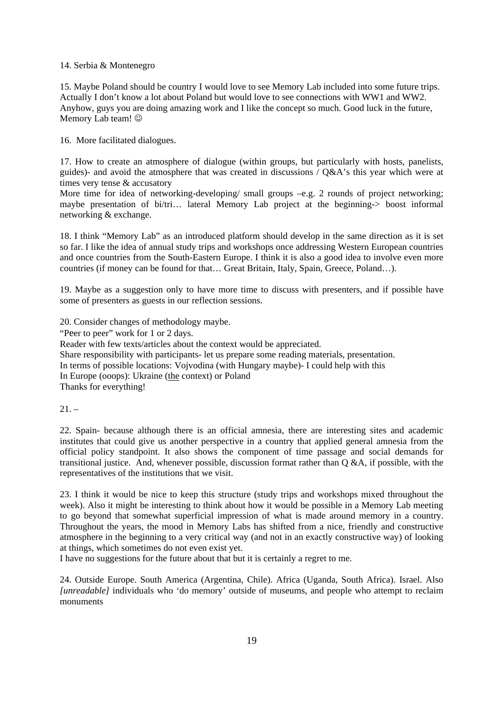#### 14. Serbia & Montenegro

15. Maybe Poland should be country I would love to see Memory Lab included into some future trips. Actually I don't know a lot about Poland but would love to see connections with WW1 and WW2. Anyhow, guys you are doing amazing work and I like the concept so much. Good luck in the future, Memory Lab team!  $\odot$ 

16. More facilitated dialogues.

17. How to create an atmosphere of dialogue (within groups, but particularly with hosts, panelists, guides)- and avoid the atmosphere that was created in discussions / Q&A's this year which were at times very tense & accusatory

More time for idea of networking-developing/ small groups –e.g. 2 rounds of project networking; maybe presentation of bi/tri… lateral Memory Lab project at the beginning-> boost informal networking & exchange.

18. I think "Memory Lab" as an introduced platform should develop in the same direction as it is set so far. I like the idea of annual study trips and workshops once addressing Western European countries and once countries from the South-Eastern Europe. I think it is also a good idea to involve even more countries (if money can be found for that… Great Britain, Italy, Spain, Greece, Poland…).

19. Maybe as a suggestion only to have more time to discuss with presenters, and if possible have some of presenters as guests in our reflection sessions.

20. Consider changes of methodology maybe.

"Peer to peer" work for 1 or 2 days.

Reader with few texts/articles about the context would be appreciated.

Share responsibility with participants- let us prepare some reading materials, presentation.

In terms of possible locations: Vojvodina (with Hungary maybe)- I could help with this

In Europe (ooops): Ukraine (the context) or Poland

Thanks for everything!

 $21. -$ 

22. Spain- because although there is an official amnesia, there are interesting sites and academic institutes that could give us another perspective in a country that applied general amnesia from the official policy standpoint. It also shows the component of time passage and social demands for transitional justice. And, whenever possible, discussion format rather than Q &A, if possible, with the representatives of the institutions that we visit.

23. I think it would be nice to keep this structure (study trips and workshops mixed throughout the week). Also it might be interesting to think about how it would be possible in a Memory Lab meeting to go beyond that somewhat superficial impression of what is made around memory in a country. Throughout the years, the mood in Memory Labs has shifted from a nice, friendly and constructive atmosphere in the beginning to a very critical way (and not in an exactly constructive way) of looking at things, which sometimes do not even exist yet.

I have no suggestions for the future about that but it is certainly a regret to me.

24. Outside Europe. South America (Argentina, Chile). Africa (Uganda, South Africa). Israel. Also *[unreadable]* individuals who 'do memory' outside of museums, and people who attempt to reclaim monuments